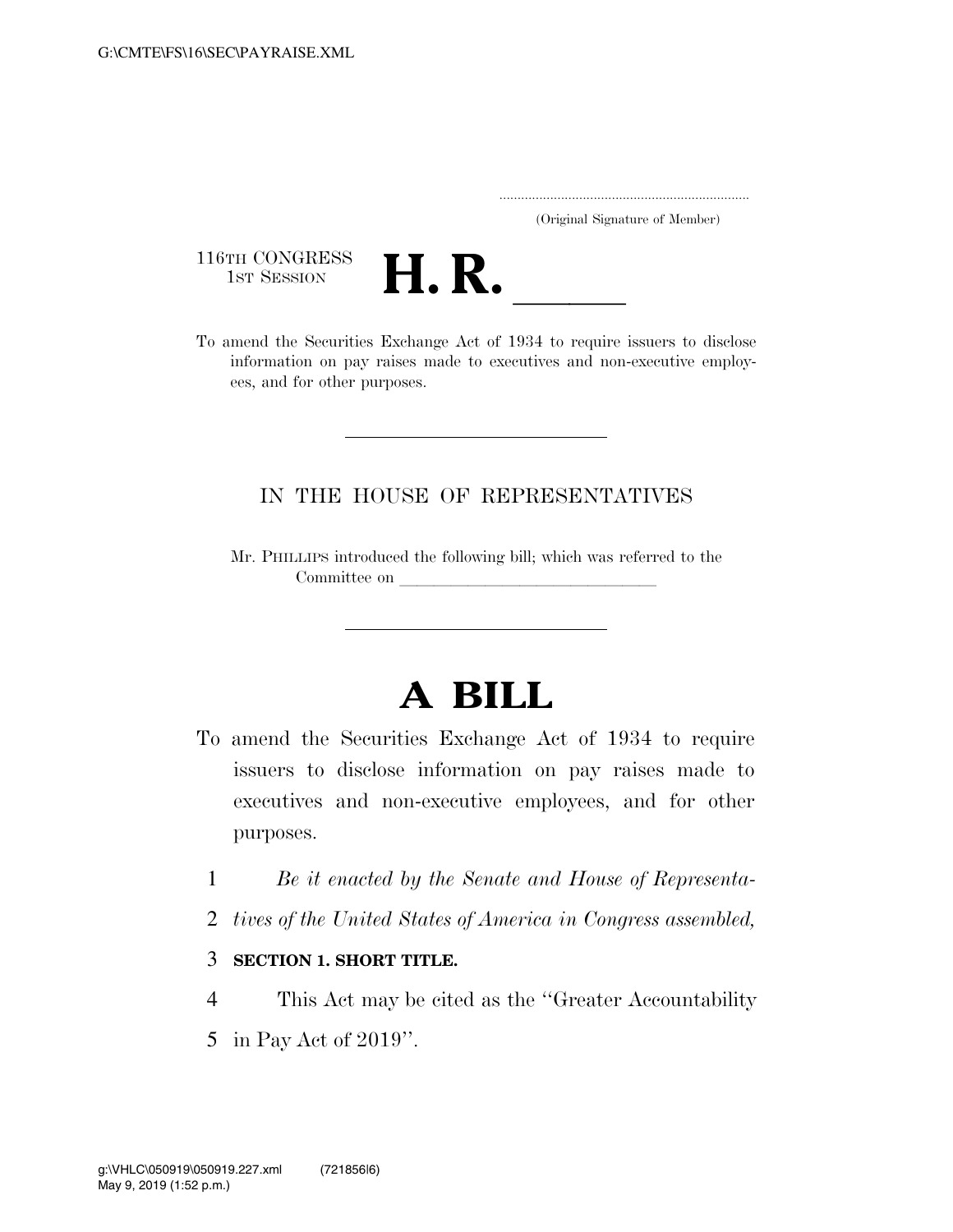..................................................................... (Original Signature of Member)

116TH CONGRESS<br>1st Session



116TH CONGRESS<br>1st SESSION **H. R.** <u>International To amend the Securities Exchange Act of 1934 to require issuers to disclose</u> information on pay raises made to executives and non-executive employees, and for other purposes.

## IN THE HOUSE OF REPRESENTATIVES

Mr. PHILLIPS introduced the following bill; which was referred to the Committee on

## **A BILL**

- To amend the Securities Exchange Act of 1934 to require issuers to disclose information on pay raises made to executives and non-executive employees, and for other purposes.
	- 1 *Be it enacted by the Senate and House of Representa-*
	- 2 *tives of the United States of America in Congress assembled,*
	- 3 **SECTION 1. SHORT TITLE.**
- 4 This Act may be cited as the ''Greater Accountability
- 5 in Pay Act of 2019''.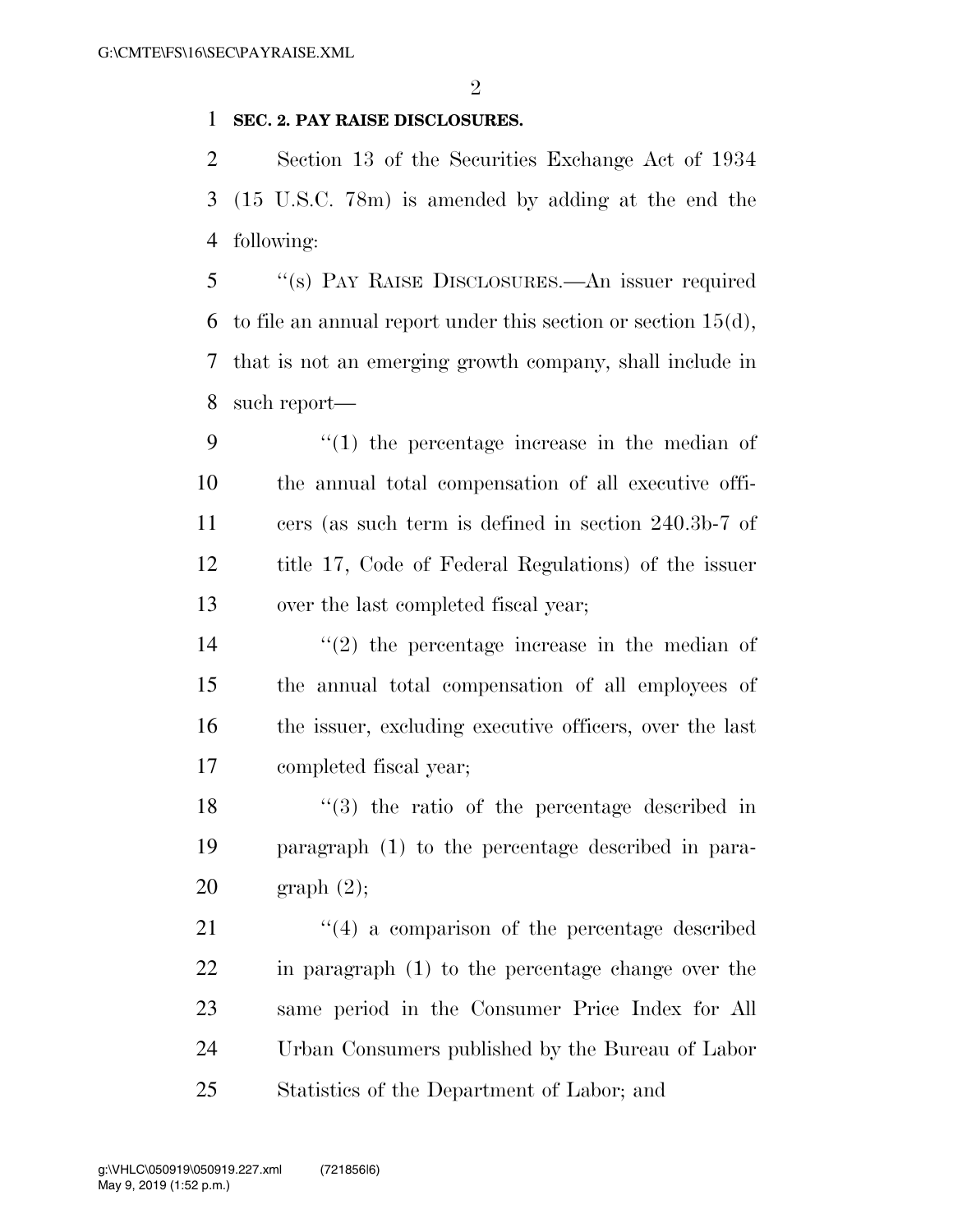## **SEC. 2. PAY RAISE DISCLOSURES.**

 Section 13 of the Securities Exchange Act of 1934 (15 U.S.C. 78m) is amended by adding at the end the following:

 ''(s) PAY RAISE DISCLOSURES.—An issuer required 6 to file an annual report under this section or section  $15(d)$ , that is not an emerging growth company, shall include in such report—

 $\frac{1}{2}$  (1) the percentage increase in the median of the annual total compensation of all executive offi- cers (as such term is defined in section 240.3b-7 of title 17, Code of Federal Regulations) of the issuer over the last completed fiscal year;

 $(2)$  the percentage increase in the median of the annual total compensation of all employees of the issuer, excluding executive officers, over the last completed fiscal year;

 ''(3) the ratio of the percentage described in paragraph (1) to the percentage described in para-graph (2);

21 ''(4) a comparison of the percentage described in paragraph (1) to the percentage change over the same period in the Consumer Price Index for All Urban Consumers published by the Bureau of Labor Statistics of the Department of Labor; and